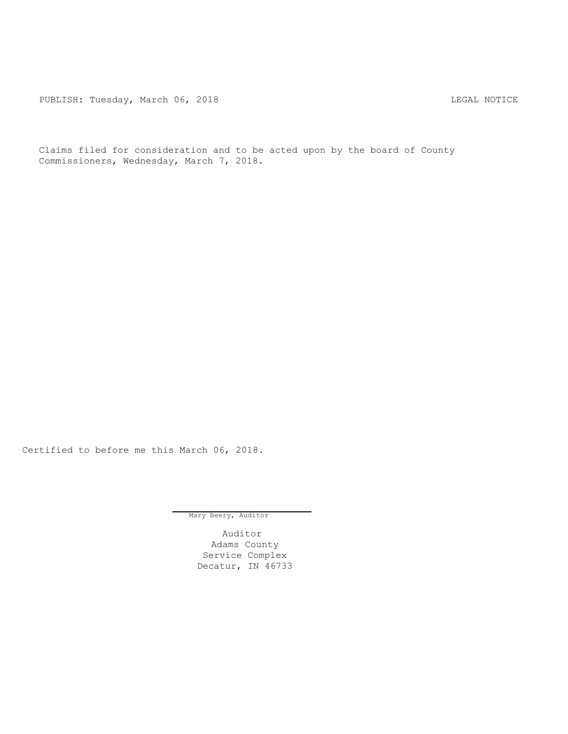PUBLISH: Tuesday, March 06, 2018 CHA CHANGE CONTROLLY MATCHER AND LEGAL NOTICE

Claims filed for consideration and to be acted upon by the board of County Commissioners, Wednesday, March 7, 2018.

Certified to before me this March 06, 2018.

Mary Beery, Auditor

Auditor Adams County Service Complex Decatur, IN 46733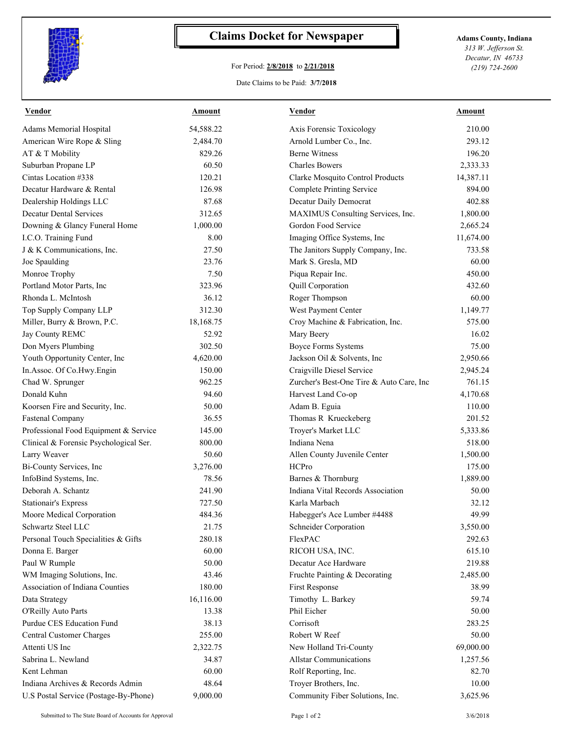

## **Claims Docket for Newspaper Adams County, Indiana**

## For Period: **2/8/2018** to **2/21/2018**

*313 W. Jefferson St. Decatur, IN 46733 (219) 724-2600*

Date Claims to be Paid: **3/7/2018**

| <b>Vendor</b>                          | Amount    | <b>Vendor</b>                            | Amount    |
|----------------------------------------|-----------|------------------------------------------|-----------|
| Adams Memorial Hospital                | 54,588.22 | Axis Forensic Toxicology                 | 210.00    |
| American Wire Rope & Sling             | 2,484.70  | Arnold Lumber Co., Inc.                  | 293.12    |
| AT & T Mobility                        | 829.26    | <b>Berne Witness</b>                     | 196.20    |
| Suburban Propane LP                    | 60.50     | <b>Charles Bowers</b>                    | 2,333.33  |
| Cintas Location #338                   | 120.21    | Clarke Mosquito Control Products         | 14,387.11 |
| Decatur Hardware & Rental              | 126.98    | <b>Complete Printing Service</b>         | 894.00    |
| Dealership Holdings LLC                | 87.68     | Decatur Daily Democrat                   | 402.88    |
| <b>Decatur Dental Services</b>         | 312.65    | MAXIMUS Consulting Services, Inc.        | 1,800.00  |
| Downing & Glancy Funeral Home          | 1,000.00  | Gordon Food Service                      | 2,665.24  |
| I.C.O. Training Fund                   | 8.00      | Imaging Office Systems, Inc              | 11,674.00 |
| J & K Communications, Inc.             | 27.50     | The Janitors Supply Company, Inc.        | 733.58    |
| Joe Spaulding                          | 23.76     | Mark S. Gresla, MD                       | 60.00     |
| Monroe Trophy                          | 7.50      | Piqua Repair Inc.                        | 450.00    |
| Portland Motor Parts, Inc              | 323.96    | Quill Corporation                        | 432.60    |
| Rhonda L. McIntosh                     | 36.12     | Roger Thompson                           | 60.00     |
| Top Supply Company LLP                 | 312.30    | West Payment Center                      | 1,149.77  |
| Miller, Burry & Brown, P.C.            | 18,168.75 | Croy Machine & Fabrication, Inc.         | 575.00    |
| Jay County REMC                        | 52.92     | Mary Beery                               | 16.02     |
| Don Myers Plumbing                     | 302.50    | <b>Boyce Forms Systems</b>               | 75.00     |
| Youth Opportunity Center, Inc          | 4,620.00  | Jackson Oil & Solvents, Inc              | 2,950.66  |
| In.Assoc. Of Co.Hwy.Engin              | 150.00    | Craigville Diesel Service                | 2,945.24  |
| Chad W. Sprunger                       | 962.25    | Zurcher's Best-One Tire & Auto Care, Inc | 761.15    |
| Donald Kuhn                            | 94.60     | Harvest Land Co-op                       | 4,170.68  |
| Koorsen Fire and Security, Inc.        | 50.00     | Adam B. Eguia                            | 110.00    |
| <b>Fastenal Company</b>                | 36.55     | Thomas R Krueckeberg                     | 201.52    |
| Professional Food Equipment & Service  | 145.00    | Troyer's Market LLC                      | 5,333.86  |
| Clinical & Forensic Psychological Ser. | 800.00    | Indiana Nena                             | 518.00    |
| Larry Weaver                           | 50.60     | Allen County Juvenile Center             | 1,500.00  |
| Bi-County Services, Inc                | 3,276.00  | <b>HCPro</b>                             | 175.00    |
| InfoBind Systems, Inc.                 | 78.56     | Barnes & Thornburg                       | 1,889.00  |
| Deborah A. Schantz                     | 241.90    | Indiana Vital Records Association        | 50.00     |
| <b>Stationair's Express</b>            | 727.50    | Karla Marbach                            | 32.12     |
| Moore Medical Corporation              | 484.36    | Habegger's Ace Lumber #4488              | 49.99     |
| Schwartz Steel LLC                     | 21.75     | Schneider Corporation                    | 3,550.00  |
| Personal Touch Specialities & Gifts    | 280.18    | FlexPAC                                  | 292.63    |
| Donna E. Barger                        | 60.00     | RICOH USA, INC.                          | 615.10    |
| Paul W Rumple                          | 50.00     | Decatur Ace Hardware                     | 219.88    |
| WM Imaging Solutions, Inc.             | 43.46     | Fruchte Painting & Decorating            | 2,485.00  |
| Association of Indiana Counties        | 180.00    | <b>First Response</b>                    | 38.99     |
| Data Strategy                          | 16,116.00 | Timothy L. Barkey                        | 59.74     |
| O'Reilly Auto Parts                    | 13.38     | Phil Eicher                              | 50.00     |
| Purdue CES Education Fund              | 38.13     | Corrisoft                                | 283.25    |
| Central Customer Charges               | 255.00    | Robert W Reef                            | 50.00     |
| Attenti US Inc                         | 2,322.75  | New Holland Tri-County                   | 69,000.00 |
| Sabrina L. Newland                     | 34.87     | <b>Allstar Communications</b>            | 1,257.56  |
| Kent Lehman                            | 60.00     | Rolf Reporting, Inc.                     | 82.70     |
| Indiana Archives & Records Admin       | 48.64     | Troyer Brothers, Inc.                    | 10.00     |
| U.S Postal Service (Postage-By-Phone)  | 9,000.00  | Community Fiber Solutions, Inc.          | 3,625.96  |